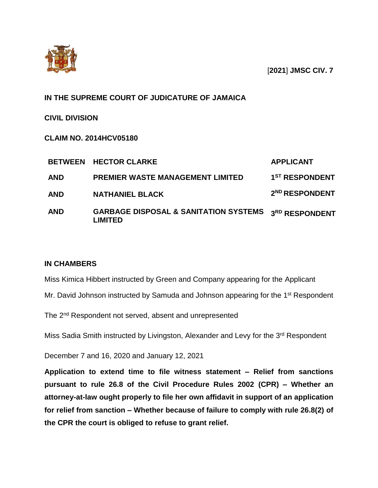

[**2021**] **JMSC CIV. 7**

## **IN THE SUPREME COURT OF JUDICATURE OF JAMAICA**

**CIVIL DIVISION** 

**CLAIM NO. 2014HCV05180**

|            | <b>BETWEEN HECTOR CLARKE</b>                                | <b>APPLICANT</b>           |
|------------|-------------------------------------------------------------|----------------------------|
| <b>AND</b> | <b>PREMIER WASTE MANAGEMENT LIMITED</b>                     | 1 <sup>ST</sup> RESPONDENT |
| <b>AND</b> | <b>NATHANIEL BLACK</b>                                      | 2 <sup>ND</sup> RESPONDENT |
| <b>AND</b> | <b>GARBAGE DISPOSAL &amp; SANITATION SYSTEMS</b><br>LIMITED | 3RD RESPONDENT             |

## **IN CHAMBERS**

Miss Kimica Hibbert instructed by Green and Company appearing for the Applicant

Mr. David Johnson instructed by Samuda and Johnson appearing for the 1<sup>st</sup> Respondent

The 2<sup>nd</sup> Respondent not served, absent and unrepresented

Miss Sadia Smith instructed by Livingston, Alexander and Levy for the 3<sup>rd</sup> Respondent

December 7 and 16, 2020 and January 12, 2021

**Application to extend time to file witness statement – Relief from sanctions pursuant to rule 26.8 of the Civil Procedure Rules 2002 (CPR) – Whether an attorney-at-law ought properly to file her own affidavit in support of an application for relief from sanction – Whether because of failure to comply with rule 26.8(2) of the CPR the court is obliged to refuse to grant relief.**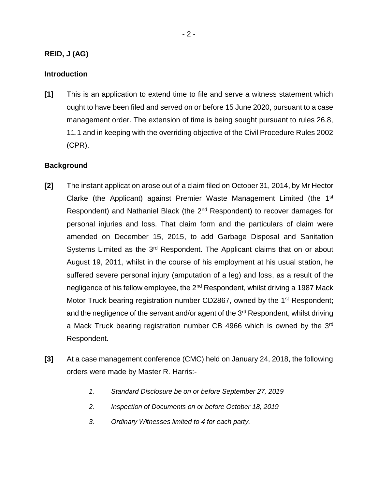## **REID, J (AG)**

#### **Introduction**

**[1]** This is an application to extend time to file and serve a witness statement which ought to have been filed and served on or before 15 June 2020, pursuant to a case management order. The extension of time is being sought pursuant to rules 26.8, 11.1 and in keeping with the overriding objective of the Civil Procedure Rules 2002 (CPR).

### **Background**

- **[2]** The instant application arose out of a claim filed on October 31, 2014, by Mr Hector Clarke (the Applicant) against Premier Waste Management Limited (the 1<sup>st</sup> Respondent) and Nathaniel Black (the 2<sup>nd</sup> Respondent) to recover damages for personal injuries and loss. That claim form and the particulars of claim were amended on December 15, 2015, to add Garbage Disposal and Sanitation Systems Limited as the 3<sup>rd</sup> Respondent. The Applicant claims that on or about August 19, 2011, whilst in the course of his employment at his usual station, he suffered severe personal injury (amputation of a leg) and loss, as a result of the negligence of his fellow employee, the 2<sup>nd</sup> Respondent, whilst driving a 1987 Mack Motor Truck bearing registration number CD2867, owned by the 1<sup>st</sup> Respondent; and the negligence of the servant and/or agent of the 3<sup>rd</sup> Respondent, whilst driving a Mack Truck bearing registration number CB 4966 which is owned by the 3<sup>rd</sup> Respondent.
- **[3]** At a case management conference (CMC) held on January 24, 2018, the following orders were made by Master R. Harris:-
	- *1. Standard Disclosure be on or before September 27, 2019*
	- *2. Inspection of Documents on or before October 18, 2019*
	- *3. Ordinary Witnesses limited to 4 for each party.*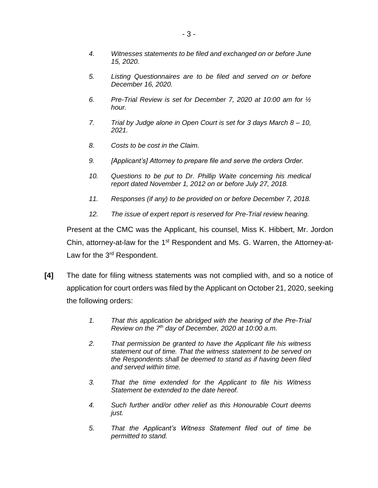- *4. Witnesses statements to be filed and exchanged on or before June 15, 2020.*
- *5. Listing Questionnaires are to be filed and served on or before December 16, 2020.*
- *6. Pre-Trial Review is set for December 7, 2020 at 10:00 am for ½ hour.*
- *7. Trial by Judge alone in Open Court is set for 3 days March 8 – 10, 2021.*
- *8. Costs to be cost in the Claim.*
- *9. [Applicant's] Attorney to prepare file and serve the orders Order.*
- *10. Questions to be put to Dr. Phillip Waite concerning his medical report dated November 1, 2012 on or before July 27, 2018.*
- *11. Responses (if any) to be provided on or before December 7, 2018.*
- *12. The issue of expert report is reserved for Pre-Trial review hearing.*

Present at the CMC was the Applicant, his counsel, Miss K. Hibbert, Mr. Jordon Chin, attorney-at-law for the  $1<sup>st</sup>$  Respondent and Ms. G. Warren, the Attorney-at-Law for the 3<sup>rd</sup> Respondent.

- **[4]** The date for filing witness statements was not complied with, and so a notice of application for court orders was filed by the Applicant on October 21, 2020, seeking the following orders:
	- *1. That this application be abridged with the hearing of the Pre-Trial Review on the 7th day of December, 2020 at 10:00 a.m.*
	- *2. That permission be granted to have the Applicant file his witness statement out of time. That the witness statement to be served on the Respondents shall be deemed to stand as if having been filed and served within time.*
	- *3. That the time extended for the Applicant to file his Witness Statement be extended to the date hereof.*
	- *4. Such further and/or other relief as this Honourable Court deems just.*
	- *5. That the Applicant's Witness Statement filed out of time be permitted to stand.*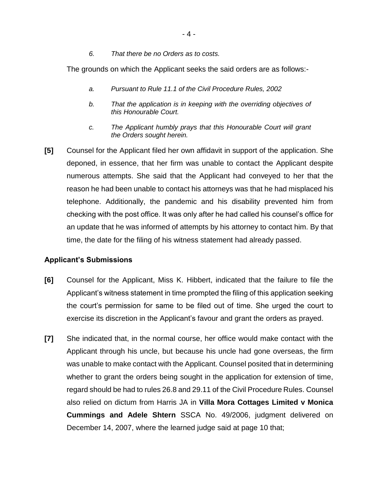*6. That there be no Orders as to costs.*

The grounds on which the Applicant seeks the said orders are as follows:-

- *a. Pursuant to Rule 11.1 of the Civil Procedure Rules, 2002*
- *b. That the application is in keeping with the overriding objectives of this Honourable Court.*
- *c. The Applicant humbly prays that this Honourable Court will grant the Orders sought herein.*
- **[5]** Counsel for the Applicant filed her own affidavit in support of the application. She deponed, in essence, that her firm was unable to contact the Applicant despite numerous attempts. She said that the Applicant had conveyed to her that the reason he had been unable to contact his attorneys was that he had misplaced his telephone. Additionally, the pandemic and his disability prevented him from checking with the post office. It was only after he had called his counsel's office for an update that he was informed of attempts by his attorney to contact him. By that time, the date for the filing of his witness statement had already passed.

## **Applicant's Submissions**

- **[6]** Counsel for the Applicant, Miss K. Hibbert, indicated that the failure to file the Applicant's witness statement in time prompted the filing of this application seeking the court's permission for same to be filed out of time. She urged the court to exercise its discretion in the Applicant's favour and grant the orders as prayed.
- **[7]** She indicated that, in the normal course, her office would make contact with the Applicant through his uncle, but because his uncle had gone overseas, the firm was unable to make contact with the Applicant. Counsel posited that in determining whether to grant the orders being sought in the application for extension of time, regard should be had to rules 26.8 and 29.11 of the Civil Procedure Rules. Counsel also relied on dictum from Harris JA in **Villa Mora Cottages Limited v Monica Cummings and Adele Shtern** SSCA No. 49/2006, judgment delivered on December 14, 2007, where the learned judge said at page 10 that;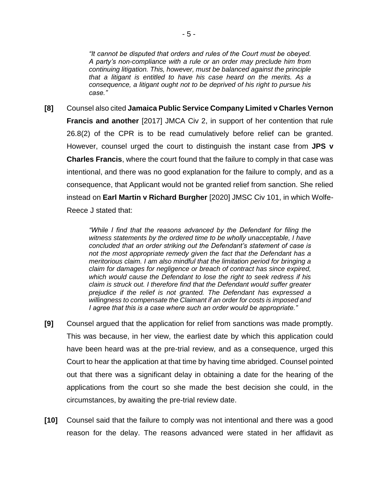*"It cannot be disputed that orders and rules of the Court must be obeyed. A party's non-compliance with a rule or an order may preclude him from continuing litigation. This, however, must be balanced against the principle that a litigant is entitled to have his case heard on the merits. As a consequence, a litigant ought not to be deprived of his right to pursue his case."*

**[8]** Counsel also cited **Jamaica Public Service Company Limited v Charles Vernon Francis and another** [2017] JMCA Civ 2, in support of her contention that rule 26.8(2) of the CPR is to be read cumulatively before relief can be granted. However, counsel urged the court to distinguish the instant case from **JPS v Charles Francis**, where the court found that the failure to comply in that case was intentional, and there was no good explanation for the failure to comply, and as a consequence, that Applicant would not be granted relief from sanction. She relied instead on **Earl Martin v Richard Burgher** [2020] JMSC Civ 101, in which Wolfe-Reece J stated that:

> *"While I find that the reasons advanced by the Defendant for filing the witness statements by the ordered time to be wholly unacceptable, I have concluded that an order striking out the Defendant's statement of case is not the most appropriate remedy given the fact that the Defendant has a meritorious claim. I am also mindful that the limitation period for bringing a claim for damages for negligence or breach of contract has since expired, which would cause the Defendant to lose the right to seek redress if his claim is struck out. I therefore find that the Defendant would suffer greater prejudice if the relief is not granted. The Defendant has expressed a willingness to compensate the Claimant if an order for costs is imposed and I agree that this is a case where such an order would be appropriate."*

- **[9]** Counsel argued that the application for relief from sanctions was made promptly. This was because, in her view, the earliest date by which this application could have been heard was at the pre-trial review, and as a consequence, urged this Court to hear the application at that time by having time abridged. Counsel pointed out that there was a significant delay in obtaining a date for the hearing of the applications from the court so she made the best decision she could, in the circumstances, by awaiting the pre-trial review date.
- **[10]** Counsel said that the failure to comply was not intentional and there was a good reason for the delay. The reasons advanced were stated in her affidavit as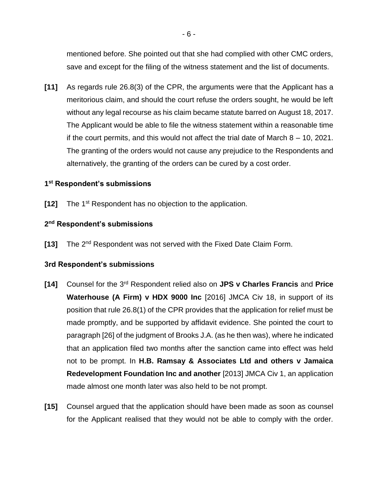mentioned before. She pointed out that she had complied with other CMC orders, save and except for the filing of the witness statement and the list of documents.

**[11]** As regards rule 26.8(3) of the CPR, the arguments were that the Applicant has a meritorious claim, and should the court refuse the orders sought, he would be left without any legal recourse as his claim became statute barred on August 18, 2017. The Applicant would be able to file the witness statement within a reasonable time if the court permits, and this would not affect the trial date of March 8 – 10, 2021. The granting of the orders would not cause any prejudice to the Respondents and alternatively, the granting of the orders can be cured by a cost order.

## **1 st Respondent's submissions**

**[12]** The 1<sup>st</sup> Respondent has no objection to the application.

### **2 nd Respondent's submissions**

[13] The 2<sup>nd</sup> Respondent was not served with the Fixed Date Claim Form.

#### **3rd Respondent's submissions**

- **[14]** Counsel for the 3rd Respondent relied also on **JPS v Charles Francis** and **Price Waterhouse (A Firm) v HDX 9000 Inc** [2016] JMCA Civ 18, in support of its position that rule 26.8(1) of the CPR provides that the application for relief must be made promptly, and be supported by affidavit evidence. She pointed the court to paragraph [26] of the judgment of Brooks J.A. (as he then was), where he indicated that an application filed two months after the sanction came into effect was held not to be prompt. In **H.B. Ramsay & Associates Ltd and others v Jamaica Redevelopment Foundation Inc and another** [2013] JMCA Civ 1, an application made almost one month later was also held to be not prompt.
- **[15]** Counsel argued that the application should have been made as soon as counsel for the Applicant realised that they would not be able to comply with the order.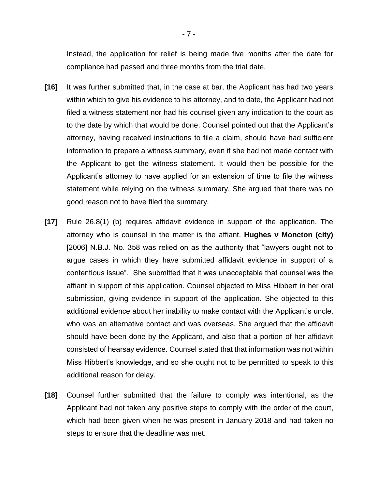Instead, the application for relief is being made five months after the date for compliance had passed and three months from the trial date.

- **[16]** It was further submitted that, in the case at bar, the Applicant has had two years within which to give his evidence to his attorney, and to date, the Applicant had not filed a witness statement nor had his counsel given any indication to the court as to the date by which that would be done. Counsel pointed out that the Applicant's attorney, having received instructions to file a claim, should have had sufficient information to prepare a witness summary, even if she had not made contact with the Applicant to get the witness statement. It would then be possible for the Applicant's attorney to have applied for an extension of time to file the witness statement while relying on the witness summary. She argued that there was no good reason not to have filed the summary.
- **[17]** Rule 26.8(1) (b) requires affidavit evidence in support of the application. The attorney who is counsel in the matter is the affiant. **Hughes v Moncton (city)** [2006] N.B.J. No. 358 was relied on as the authority that "lawyers ought not to argue cases in which they have submitted affidavit evidence in support of a contentious issue". She submitted that it was unacceptable that counsel was the affiant in support of this application. Counsel objected to Miss Hibbert in her oral submission, giving evidence in support of the application. She objected to this additional evidence about her inability to make contact with the Applicant's uncle, who was an alternative contact and was overseas. She argued that the affidavit should have been done by the Applicant, and also that a portion of her affidavit consisted of hearsay evidence. Counsel stated that that information was not within Miss Hibbert's knowledge, and so she ought not to be permitted to speak to this additional reason for delay.
- **[18]** Counsel further submitted that the failure to comply was intentional, as the Applicant had not taken any positive steps to comply with the order of the court, which had been given when he was present in January 2018 and had taken no steps to ensure that the deadline was met.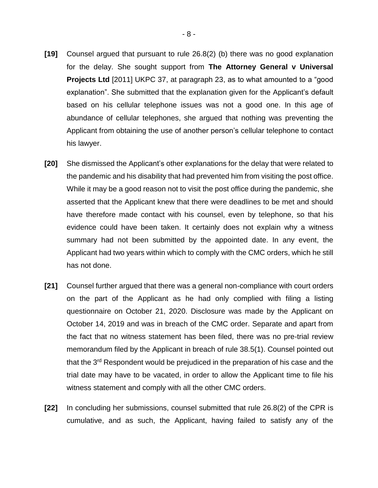- **[19]** Counsel argued that pursuant to rule 26.8(2) (b) there was no good explanation for the delay. She sought support from **The Attorney General v Universal Projects Ltd** [2011] UKPC 37, at paragraph 23, as to what amounted to a "good explanation". She submitted that the explanation given for the Applicant's default based on his cellular telephone issues was not a good one. In this age of abundance of cellular telephones, she argued that nothing was preventing the Applicant from obtaining the use of another person's cellular telephone to contact his lawyer.
- **[20]** She dismissed the Applicant's other explanations for the delay that were related to the pandemic and his disability that had prevented him from visiting the post office. While it may be a good reason not to visit the post office during the pandemic, she asserted that the Applicant knew that there were deadlines to be met and should have therefore made contact with his counsel, even by telephone, so that his evidence could have been taken. It certainly does not explain why a witness summary had not been submitted by the appointed date. In any event, the Applicant had two years within which to comply with the CMC orders, which he still has not done.
- **[21]** Counsel further argued that there was a general non-compliance with court orders on the part of the Applicant as he had only complied with filing a listing questionnaire on October 21, 2020. Disclosure was made by the Applicant on October 14, 2019 and was in breach of the CMC order. Separate and apart from the fact that no witness statement has been filed, there was no pre-trial review memorandum filed by the Applicant in breach of rule 38.5(1). Counsel pointed out that the 3rd Respondent would be prejudiced in the preparation of his case and the trial date may have to be vacated, in order to allow the Applicant time to file his witness statement and comply with all the other CMC orders.
- **[22]** In concluding her submissions, counsel submitted that rule 26.8(2) of the CPR is cumulative, and as such, the Applicant, having failed to satisfy any of the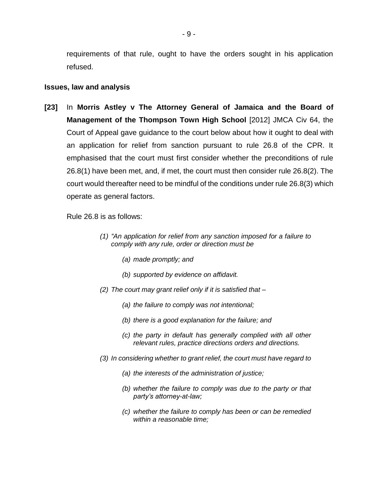requirements of that rule, ought to have the orders sought in his application refused.

#### **Issues, law and analysis**

**[23]** In **Morris Astley v The Attorney General of Jamaica and the Board of Management of the Thompson Town High School** [2012] JMCA Civ 64, the Court of Appeal gave guidance to the court below about how it ought to deal with an application for relief from sanction pursuant to rule 26.8 of the CPR. It emphasised that the court must first consider whether the preconditions of rule 26.8(1) have been met, and, if met, the court must then consider rule 26.8(2). The court would thereafter need to be mindful of the conditions under rule 26.8(3) which operate as general factors.

Rule 26.8 is as follows:

- *(1) "An application for relief from any sanction imposed for a failure to comply with any rule, order or direction must be* 
	- *(a) made promptly; and*
	- *(b) supported by evidence on affidavit.*
- *(2) The court may grant relief only if it is satisfied that –*
	- *(a) the failure to comply was not intentional;*
	- *(b) there is a good explanation for the failure; and*
	- *(c) the party in default has generally complied with all other relevant rules, practice directions orders and directions.*
- *(3) In considering whether to grant relief, the court must have regard to* 
	- *(a) the interests of the administration of justice;*
	- *(b) whether the failure to comply was due to the party or that party's attorney-at-law;*
	- *(c) whether the failure to comply has been or can be remedied within a reasonable time;*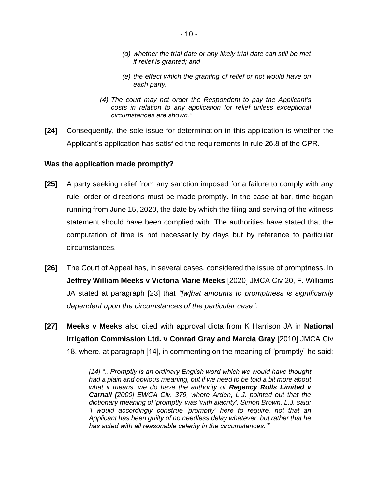- *(d) whether the trial date or any likely trial date can still be met if relief is granted; and*
- *(e) the effect which the granting of relief or not would have on each party.*
- *(4) The court may not order the Respondent to pay the Applicant's costs in relation to any application for relief unless exceptional circumstances are shown."*
- **[24]** Consequently, the sole issue for determination in this application is whether the Applicant's application has satisfied the requirements in rule 26.8 of the CPR.

#### **Was the application made promptly?**

- **[25]** A party seeking relief from any sanction imposed for a failure to comply with any rule, order or directions must be made promptly. In the case at bar, time began running from June 15, 2020, the date by which the filing and serving of the witness statement should have been complied with. The authorities have stated that the computation of time is not necessarily by days but by reference to particular circumstances.
- **[26]** The Court of Appeal has, in several cases, considered the issue of promptness. In **Jeffrey William Meeks v Victoria Marie Meeks** [2020] JMCA Civ 20, F. Williams JA stated at paragraph [23] that *"[w]hat amounts to promptness is significantly dependent upon the circumstances of the particular case"*.
- **[27] Meeks v Meeks** also cited with approval dicta from K Harrison JA in **National Irrigation Commission Ltd. v Conrad Gray and Marcia Gray** [2010] JMCA Civ 18, where, at paragraph [14], in commenting on the meaning of "promptly" he said:

*[14] "...Promptly is an ordinary English word which we would have thought had a plain and obvious meaning, but if we need to be told a bit more about what it means, we do have the authority of Regency Rolls Limited v Carnall [2000] EWCA Civ. 379, where Arden, L.J. pointed out that the dictionary meaning of 'promptly' was 'with alacrity'. Simon Brown, L.J. said: 'I would accordingly construe 'promptly' here to require, not that an Applicant has been guilty of no needless delay whatever, but rather that he has acted with all reasonable celerity in the circumstances.'"*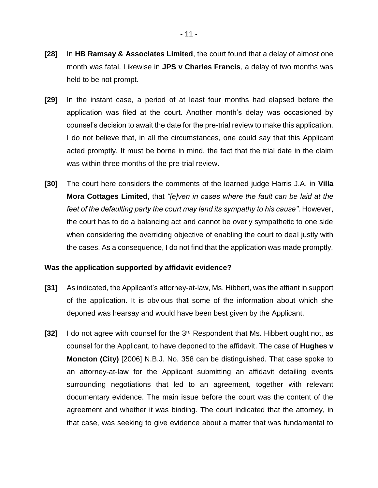- **[28]** In **HB Ramsay & Associates Limited**, the court found that a delay of almost one month was fatal. Likewise in **JPS v Charles Francis**, a delay of two months was held to be not prompt.
- **[29]** In the instant case, a period of at least four months had elapsed before the application was filed at the court. Another month's delay was occasioned by counsel's decision to await the date for the pre-trial review to make this application. I do not believe that, in all the circumstances, one could say that this Applicant acted promptly. It must be borne in mind, the fact that the trial date in the claim was within three months of the pre-trial review.
- **[30]** The court here considers the comments of the learned judge Harris J.A. in **Villa Mora Cottages Limited**, that *"[e]ven in cases where the fault can be laid at the feet of the defaulting party the court may lend its sympathy to his cause"*. However, the court has to do a balancing act and cannot be overly sympathetic to one side when considering the overriding objective of enabling the court to deal justly with the cases. As a consequence, I do not find that the application was made promptly.

#### **Was the application supported by affidavit evidence?**

- **[31]** As indicated, the Applicant's attorney-at-law, Ms. Hibbert, was the affiant in support of the application. It is obvious that some of the information about which she deponed was hearsay and would have been best given by the Applicant.
- **[32]** I do not agree with counsel for the 3rd Respondent that Ms. Hibbert ought not, as counsel for the Applicant, to have deponed to the affidavit. The case of **Hughes v Moncton (City)** [2006] N.B.J. No. 358 can be distinguished. That case spoke to an attorney-at-law for the Applicant submitting an affidavit detailing events surrounding negotiations that led to an agreement, together with relevant documentary evidence. The main issue before the court was the content of the agreement and whether it was binding. The court indicated that the attorney, in that case, was seeking to give evidence about a matter that was fundamental to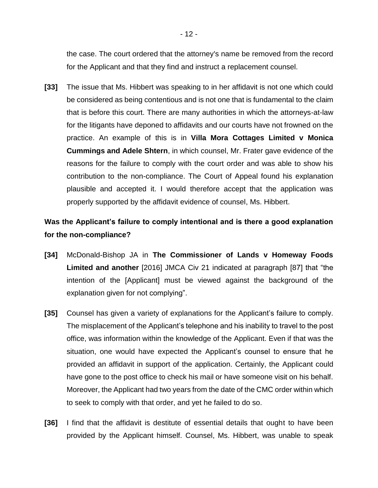the case. The court ordered that the attorney's name be removed from the record for the Applicant and that they find and instruct a replacement counsel.

**[33]** The issue that Ms. Hibbert was speaking to in her affidavit is not one which could be considered as being contentious and is not one that is fundamental to the claim that is before this court. There are many authorities in which the attorneys-at-law for the litigants have deponed to affidavits and our courts have not frowned on the practice. An example of this is in **Villa Mora Cottages Limited v Monica Cummings and Adele Shtern**, in which counsel, Mr. Frater gave evidence of the reasons for the failure to comply with the court order and was able to show his contribution to the non-compliance. The Court of Appeal found his explanation plausible and accepted it. I would therefore accept that the application was properly supported by the affidavit evidence of counsel, Ms. Hibbert.

# **Was the Applicant's failure to comply intentional and is there a good explanation for the non-compliance?**

- **[34]** McDonald-Bishop JA in **The Commissioner of Lands v Homeway Foods Limited and another** [2016] JMCA Civ 21 indicated at paragraph [87] that "the intention of the [Applicant] must be viewed against the background of the explanation given for not complying".
- **[35]** Counsel has given a variety of explanations for the Applicant's failure to comply. The misplacement of the Applicant's telephone and his inability to travel to the post office, was information within the knowledge of the Applicant. Even if that was the situation, one would have expected the Applicant's counsel to ensure that he provided an affidavit in support of the application. Certainly, the Applicant could have gone to the post office to check his mail or have someone visit on his behalf. Moreover, the Applicant had two years from the date of the CMC order within which to seek to comply with that order, and yet he failed to do so.
- **[36]** I find that the affidavit is destitute of essential details that ought to have been provided by the Applicant himself. Counsel, Ms. Hibbert, was unable to speak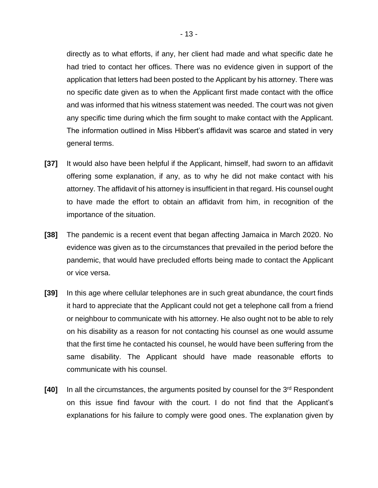directly as to what efforts, if any, her client had made and what specific date he had tried to contact her offices. There was no evidence given in support of the application that letters had been posted to the Applicant by his attorney. There was no specific date given as to when the Applicant first made contact with the office and was informed that his witness statement was needed. The court was not given any specific time during which the firm sought to make contact with the Applicant. The information outlined in Miss Hibbert's affidavit was scarce and stated in very general terms.

- **[37]** It would also have been helpful if the Applicant, himself, had sworn to an affidavit offering some explanation, if any, as to why he did not make contact with his attorney. The affidavit of his attorney is insufficient in that regard. His counsel ought to have made the effort to obtain an affidavit from him, in recognition of the importance of the situation.
- **[38]** The pandemic is a recent event that began affecting Jamaica in March 2020. No evidence was given as to the circumstances that prevailed in the period before the pandemic, that would have precluded efforts being made to contact the Applicant or vice versa.
- **[39]** In this age where cellular telephones are in such great abundance, the court finds it hard to appreciate that the Applicant could not get a telephone call from a friend or neighbour to communicate with his attorney. He also ought not to be able to rely on his disability as a reason for not contacting his counsel as one would assume that the first time he contacted his counsel, he would have been suffering from the same disability. The Applicant should have made reasonable efforts to communicate with his counsel.
- **[40]** In all the circumstances, the arguments posited by counsel for the 3<sup>rd</sup> Respondent on this issue find favour with the court. I do not find that the Applicant's explanations for his failure to comply were good ones. The explanation given by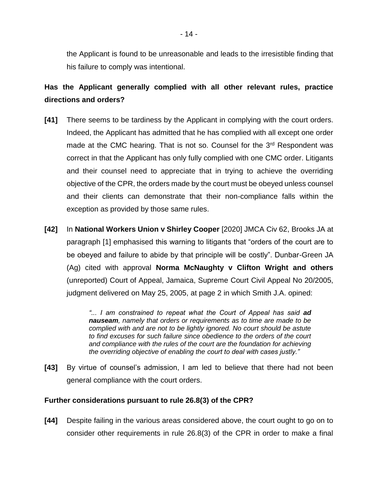the Applicant is found to be unreasonable and leads to the irresistible finding that his failure to comply was intentional.

# **Has the Applicant generally complied with all other relevant rules, practice directions and orders?**

- **[41]** There seems to be tardiness by the Applicant in complying with the court orders. Indeed, the Applicant has admitted that he has complied with all except one order made at the CMC hearing. That is not so. Counsel for the 3<sup>rd</sup> Respondent was correct in that the Applicant has only fully complied with one CMC order. Litigants and their counsel need to appreciate that in trying to achieve the overriding objective of the CPR, the orders made by the court must be obeyed unless counsel and their clients can demonstrate that their non-compliance falls within the exception as provided by those same rules.
- **[42]** In **National Workers Union v Shirley Cooper** [2020] JMCA Civ 62, Brooks JA at paragraph [1] emphasised this warning to litigants that "orders of the court are to be obeyed and failure to abide by that principle will be costly". Dunbar-Green JA (Ag) cited with approval **Norma McNaughty v Clifton Wright and others** (unreported) Court of Appeal, Jamaica, Supreme Court Civil Appeal No 20/2005, judgment delivered on May 25, 2005, at page 2 in which Smith J.A. opined:

*"... I am constrained to repeat what the Court of Appeal has said ad nauseam, namely that orders or requirements as to time are made to be complied with and are not to be lightly ignored. No court should be astute to find excuses for such failure since obedience to the orders of the court and compliance with the rules of the court are the foundation for achieving the overriding objective of enabling the court to deal with cases justly."*

**[43]** By virtue of counsel's admission, I am led to believe that there had not been general compliance with the court orders.

## **Further considerations pursuant to rule 26.8(3) of the CPR?**

**[44]** Despite failing in the various areas considered above, the court ought to go on to consider other requirements in rule 26.8(3) of the CPR in order to make a final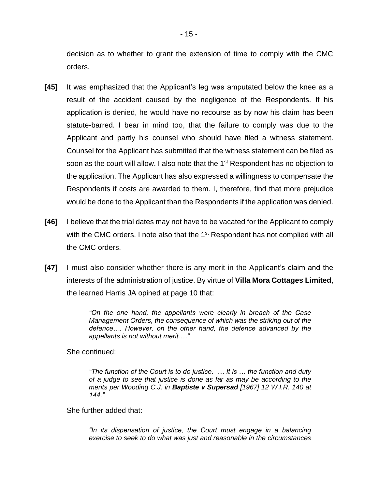decision as to whether to grant the extension of time to comply with the CMC orders.

- **[45]** It was emphasized that the Applicant's leg was amputated below the knee as a result of the accident caused by the negligence of the Respondents. If his application is denied, he would have no recourse as by now his claim has been statute-barred. I bear in mind too, that the failure to comply was due to the Applicant and partly his counsel who should have filed a witness statement. Counsel for the Applicant has submitted that the witness statement can be filed as soon as the court will allow. I also note that the 1<sup>st</sup> Respondent has no objection to the application. The Applicant has also expressed a willingness to compensate the Respondents if costs are awarded to them. I, therefore, find that more prejudice would be done to the Applicant than the Respondents if the application was denied.
- **[46]** I believe that the trial dates may not have to be vacated for the Applicant to comply with the CMC orders. I note also that the 1<sup>st</sup> Respondent has not complied with all the CMC orders.
- **[47]** I must also consider whether there is any merit in the Applicant's claim and the interests of the administration of justice. By virtue of **Villa Mora Cottages Limited**, the learned Harris JA opined at page 10 that:

*"On the one hand, the appellants were clearly in breach of the Case Management Orders, the consequence of which was the striking out of the defence…. However, on the other hand, the defence advanced by the appellants is not without merit,…"*

She continued:

*"The function of the Court is to do justice. … It is … the function and duty of a judge to see that justice is done as far as may be according to the merits per Wooding C.J. in Baptiste v Supersad [1967] 12 W.I.R. 140 at 144."*

She further added that:

*"In its dispensation of justice, the Court must engage in a balancing exercise to seek to do what was just and reasonable in the circumstances*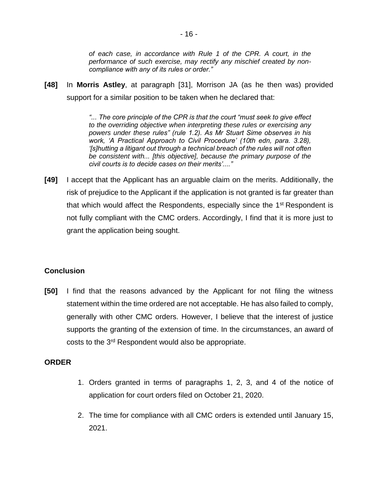*of each case, in accordance with Rule 1 of the CPR. A court, in the performance of such exercise, may rectify any mischief created by noncompliance with any of its rules or order."*

**[48]** In **Morris Astley**, at paragraph [31], Morrison JA (as he then was) provided support for a similar position to be taken when he declared that:

> *"... The core principle of the CPR is that the court "must seek to give effect to the overriding objective when interpreting these rules or exercising any powers under these rules" (rule 1.2). As Mr Stuart Sime observes in his work, 'A Practical Approach to Civil Procedure' (10th edn, para. 3.28), '[s]hutting a litigant out through a technical breach of the rules will not often be consistent with... [this objective], because the primary purpose of the civil courts is to decide cases on their merits'...."*

**[49]** I accept that the Applicant has an arguable claim on the merits. Additionally, the risk of prejudice to the Applicant if the application is not granted is far greater than that which would affect the Respondents, especially since the  $1<sup>st</sup>$  Respondent is not fully compliant with the CMC orders. Accordingly, I find that it is more just to grant the application being sought.

## **Conclusion**

**[50]** I find that the reasons advanced by the Applicant for not filing the witness statement within the time ordered are not acceptable. He has also failed to comply, generally with other CMC orders. However, I believe that the interest of justice supports the granting of the extension of time. In the circumstances, an award of costs to the 3<sup>rd</sup> Respondent would also be appropriate.

#### **ORDER**

- 1. Orders granted in terms of paragraphs 1, 2, 3, and 4 of the notice of application for court orders filed on October 21, 2020.
- 2. The time for compliance with all CMC orders is extended until January 15, 2021.